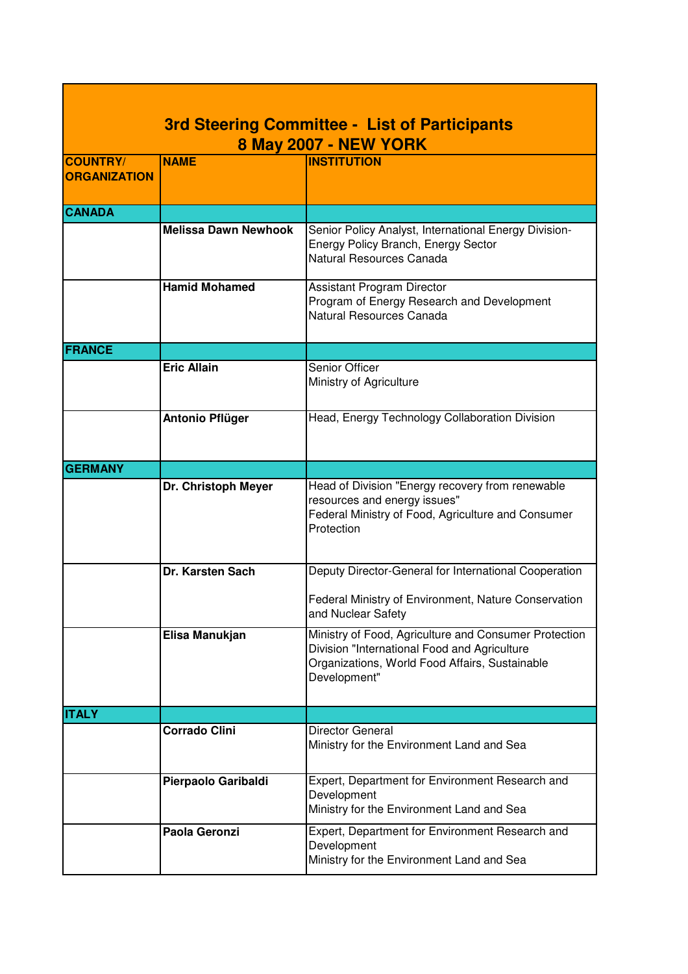|                     | <b>3rd Steering Committee - List of Participants</b><br><b>8 May 2007 - NEW YORK</b> |                                                                                                                                                                         |
|---------------------|--------------------------------------------------------------------------------------|-------------------------------------------------------------------------------------------------------------------------------------------------------------------------|
| <b>COUNTRY/</b>     | <b>NAME</b>                                                                          | <b>INSTITUTION</b>                                                                                                                                                      |
| <b>ORGANIZATION</b> |                                                                                      |                                                                                                                                                                         |
| <b>CANADA</b>       |                                                                                      |                                                                                                                                                                         |
|                     | <b>Melissa Dawn Newhook</b>                                                          | Senior Policy Analyst, International Energy Division-<br>Energy Policy Branch, Energy Sector<br>Natural Resources Canada                                                |
|                     | <b>Hamid Mohamed</b>                                                                 | <b>Assistant Program Director</b><br>Program of Energy Research and Development<br>Natural Resources Canada                                                             |
| <b>FRANCE</b>       |                                                                                      |                                                                                                                                                                         |
|                     | <b>Eric Allain</b>                                                                   | Senior Officer<br>Ministry of Agriculture                                                                                                                               |
|                     | <b>Antonio Pflüger</b>                                                               | Head, Energy Technology Collaboration Division                                                                                                                          |
| <b>GERMANY</b>      |                                                                                      |                                                                                                                                                                         |
|                     | Dr. Christoph Meyer                                                                  | Head of Division "Energy recovery from renewable<br>resources and energy issues"<br>Federal Ministry of Food, Agriculture and Consumer<br>Protection                    |
|                     | Dr. Karsten Sach                                                                     | Deputy Director-General for International Cooperation                                                                                                                   |
|                     |                                                                                      | Federal Ministry of Environment, Nature Conservation<br>and Nuclear Safety                                                                                              |
|                     | Elisa Manukjan                                                                       | Ministry of Food, Agriculture and Consumer Protection<br>Division "International Food and Agriculture<br>Organizations, World Food Affairs, Sustainable<br>Development" |
| <b>ITALY</b>        |                                                                                      |                                                                                                                                                                         |
|                     | <b>Corrado Clini</b>                                                                 | <b>Director General</b><br>Ministry for the Environment Land and Sea                                                                                                    |
|                     | Pierpaolo Garibaldi                                                                  | Expert, Department for Environment Research and<br>Development<br>Ministry for the Environment Land and Sea                                                             |
|                     | Paola Geronzi                                                                        | Expert, Department for Environment Research and<br>Development<br>Ministry for the Environment Land and Sea                                                             |

٦

Г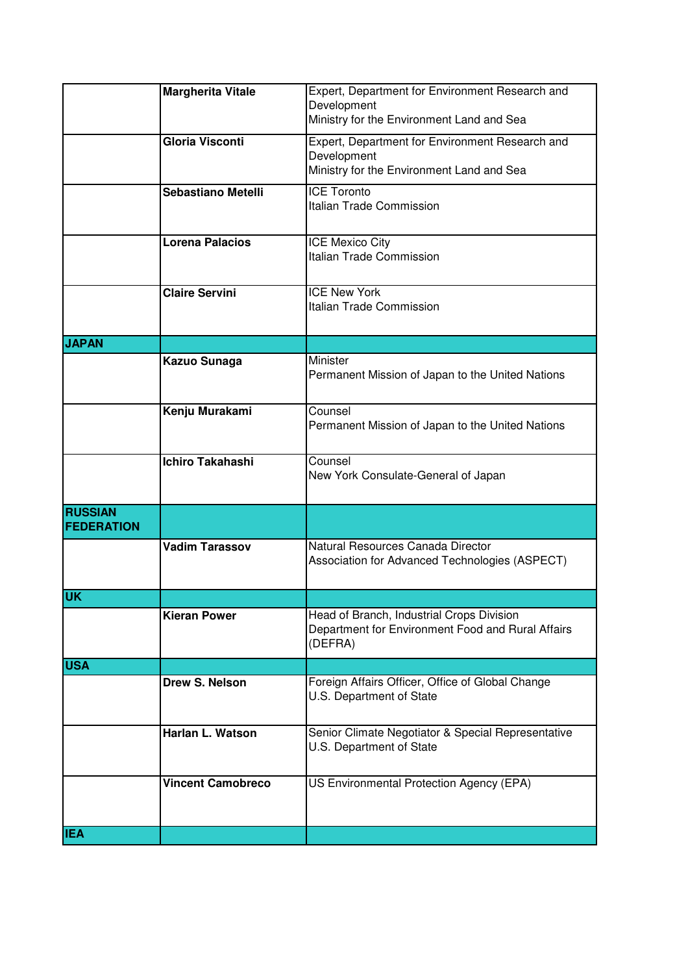|                                     | <b>Margherita Vitale</b>  | Expert, Department for Environment Research and<br>Development<br>Ministry for the Environment Land and Sea |
|-------------------------------------|---------------------------|-------------------------------------------------------------------------------------------------------------|
|                                     | <b>Gloria Visconti</b>    | Expert, Department for Environment Research and<br>Development<br>Ministry for the Environment Land and Sea |
|                                     | <b>Sebastiano Metelli</b> | <b>ICE Toronto</b><br>Italian Trade Commission                                                              |
|                                     | <b>Lorena Palacios</b>    | <b>ICE Mexico City</b><br>Italian Trade Commission                                                          |
|                                     | <b>Claire Servini</b>     | <b>ICE New York</b><br>Italian Trade Commission                                                             |
| <b>JAPAN</b>                        |                           |                                                                                                             |
|                                     | Kazuo Sunaga              | Minister<br>Permanent Mission of Japan to the United Nations                                                |
|                                     | Kenju Murakami            | Counsel<br>Permanent Mission of Japan to the United Nations                                                 |
|                                     | <b>Ichiro Takahashi</b>   | Counsel<br>New York Consulate-General of Japan                                                              |
| <b>RUSSIAN</b><br><b>FEDERATION</b> |                           |                                                                                                             |
|                                     | <b>Vadim Tarassov</b>     | Natural Resources Canada Director<br>Association for Advanced Technologies (ASPECT)                         |
| <b>UK</b>                           |                           |                                                                                                             |
|                                     | <b>Kieran Power</b>       | Head of Branch, Industrial Crops Division<br>Department for Environment Food and Rural Affairs<br>(DEFRA)   |
| <b>USA</b>                          |                           |                                                                                                             |
|                                     | Drew S. Nelson            | Foreign Affairs Officer, Office of Global Change<br>U.S. Department of State                                |
|                                     | Harlan L. Watson          | Senior Climate Negotiator & Special Representative<br>U.S. Department of State                              |
|                                     | <b>Vincent Camobreco</b>  | US Environmental Protection Agency (EPA)                                                                    |
| <b>IEA</b>                          |                           |                                                                                                             |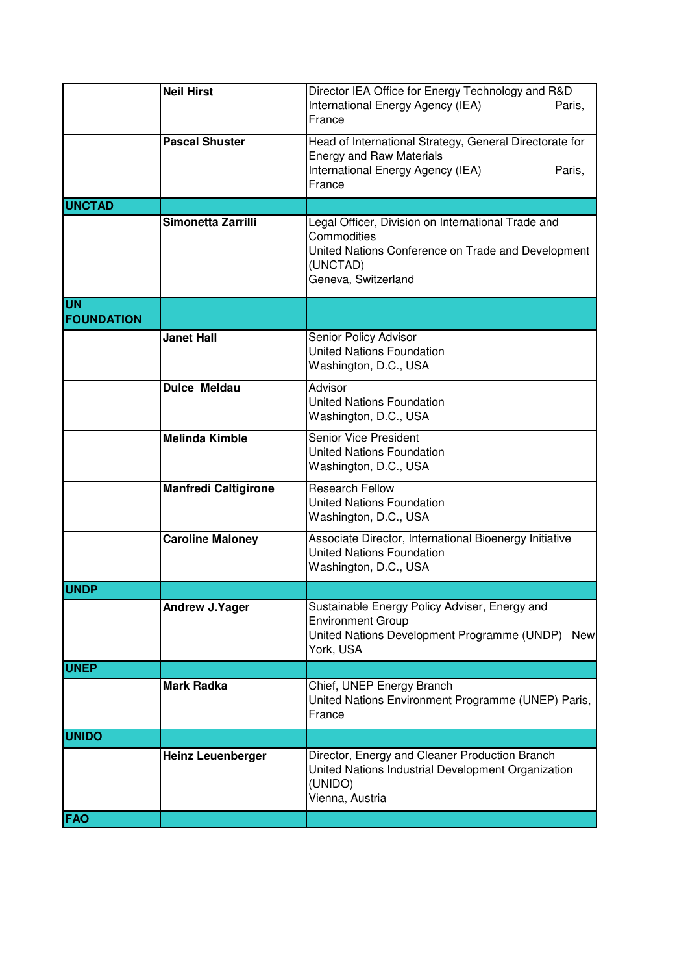|                                | <b>Neil Hirst</b>           | Director IEA Office for Energy Technology and R&D<br>International Energy Agency (IEA)<br>Paris,<br>France                                                 |
|--------------------------------|-----------------------------|------------------------------------------------------------------------------------------------------------------------------------------------------------|
|                                | <b>Pascal Shuster</b>       | Head of International Strategy, General Directorate for<br><b>Energy and Raw Materials</b><br>International Energy Agency (IEA)<br>Paris,<br>France        |
| <b>UNCTAD</b>                  |                             |                                                                                                                                                            |
|                                | Simonetta Zarrilli          | Legal Officer, Division on International Trade and<br>Commodities<br>United Nations Conference on Trade and Development<br>(UNCTAD)<br>Geneva, Switzerland |
| <b>UN</b><br><b>FOUNDATION</b> |                             |                                                                                                                                                            |
|                                | <b>Janet Hall</b>           | Senior Policy Advisor<br><b>United Nations Foundation</b><br>Washington, D.C., USA                                                                         |
|                                | <b>Dulce Meldau</b>         | Advisor<br><b>United Nations Foundation</b><br>Washington, D.C., USA                                                                                       |
|                                | <b>Melinda Kimble</b>       | <b>Senior Vice President</b><br><b>United Nations Foundation</b><br>Washington, D.C., USA                                                                  |
|                                | <b>Manfredi Caltigirone</b> | <b>Research Fellow</b><br><b>United Nations Foundation</b><br>Washington, D.C., USA                                                                        |
|                                | <b>Caroline Maloney</b>     | Associate Director, International Bioenergy Initiative<br><b>United Nations Foundation</b><br>Washington, D.C., USA                                        |
| <b>UNDP</b>                    |                             |                                                                                                                                                            |
|                                | <b>Andrew J.Yager</b>       | Sustainable Energy Policy Adviser, Energy and<br><b>Environment Group</b><br>United Nations Development Programme (UNDP)<br><b>New</b><br>York, USA        |
| <b>UNEP</b>                    |                             |                                                                                                                                                            |
|                                | <b>Mark Radka</b>           | Chief, UNEP Energy Branch<br>United Nations Environment Programme (UNEP) Paris,<br>France                                                                  |
| <b>UNIDO</b>                   |                             |                                                                                                                                                            |
|                                | <b>Heinz Leuenberger</b>    | Director, Energy and Cleaner Production Branch<br>United Nations Industrial Development Organization<br>(UNIDO)<br>Vienna, Austria                         |
| <b>FAO</b>                     |                             |                                                                                                                                                            |